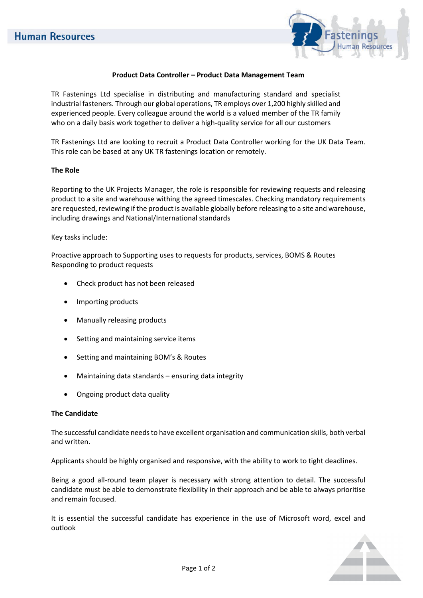

## **Product Data Controller – Product Data Management Team**

TR Fastenings Ltd specialise in distributing and manufacturing standard and specialist industrial fasteners. Through our global operations, TR employs over 1,200 highly skilled and experienced people. Every colleague around the world is a valued member of the TR family who on a daily basis work together to deliver a high-quality service for all our customers

TR Fastenings Ltd are looking to recruit a Product Data Controller working for the UK Data Team. This role can be based at any UK TR fastenings location or remotely.

#### **The Role**

Reporting to the UK Projects Manager, the role is responsible for reviewing requests and releasing product to a site and warehouse withing the agreed timescales. Checking mandatory requirements are requested, reviewing if the product is available globally before releasing to a site and warehouse, including drawings and National/International standards

### Key tasks include:

Proactive approach to Supporting uses to requests for products, services, BOMS & Routes Responding to product requests

- Check product has not been released
- Importing products
- Manually releasing products
- Setting and maintaining service items
- Setting and maintaining BOM's & Routes
- Maintaining data standards ensuring data integrity
- Ongoing product data quality

### **The Candidate**

The successful candidate needs to have excellent organisation and communication skills, both verbal and written.

Applicants should be highly organised and responsive, with the ability to work to tight deadlines.

Being a good all-round team player is necessary with strong attention to detail. The successful candidate must be able to demonstrate flexibility in their approach and be able to always prioritise and remain focused.

It is essential the successful candidate has experience in the use of Microsoft word, excel and outlook